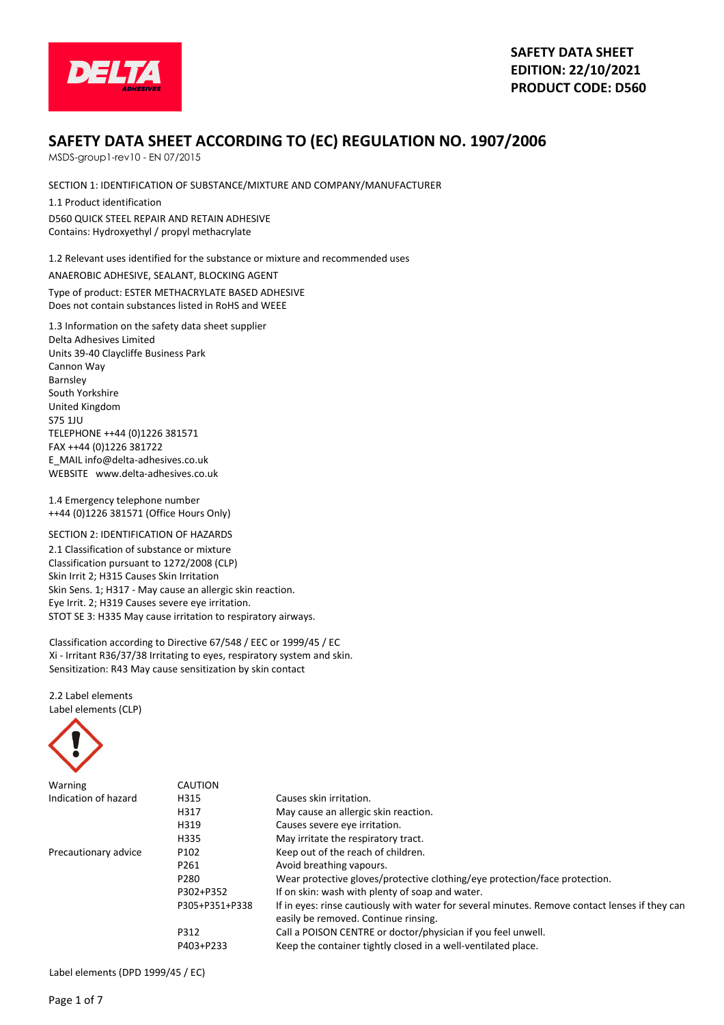

# **SAFETY DATA SHEET ACCORDING TO (EC) REGULATION NO. 1907/2006**

MSDS-group1-rev10 - EN 07/2015

SECTION 1: IDENTIFICATION OF SUBSTANCE/MIXTURE AND COMPANY/MANUFACTURER

1.1 Product identification D560 QUICK STEEL REPAIR AND RETAIN ADHESIVE Contains: Hydroxyethyl / propyl methacrylate

1.2 Relevant uses identified for the substance or mixture and recommended uses

ANAEROBIC ADHESIVE, SEALANT, BLOCKING AGENT Type of product: ESTER METHACRYLATE BASED ADHESIVE Does not contain substances listed in RoHS and WEEE

1.3 Information on the safety data sheet supplier Delta Adhesives Limited Units 39-40 Claycliffe Business Park Cannon Way Barnsley South Yorkshire United Kingdom S75 1JU TELEPHONE ++44 (0)1226 381571 FAX ++44 (0)1226 381722 E\_MAIL info@delta-adhesives.co.uk WEBSITE www.delta-adhesives.co.uk

1.4 Emergency telephone number ++44 (0)1226 381571 (Office Hours Only)

SECTION 2: IDENTIFICATION OF HAZARDS 2.1 Classification of substance or mixture Classification pursuant to 1272/2008 (CLP) Skin Irrit 2; H315 Causes Skin Irritation Skin Sens. 1; H317 - May cause an allergic skin reaction. Eye Irrit. 2; H319 Causes severe eye irritation. STOT SE 3: H335 May cause irritation to respiratory airways.

Classification according to Directive 67/548 / EEC or 1999/45 / EC Xi - Irritant R36/37/38 Irritating to eyes, respiratory system and skin. Sensitization: R43 May cause sensitization by skin contact

2.2 Label elements Label elements (CLP)



| Warning              | CAUTION          |                                                                                                                                        |
|----------------------|------------------|----------------------------------------------------------------------------------------------------------------------------------------|
| Indication of hazard | H315             | Causes skin irritation.                                                                                                                |
|                      | H317             | May cause an allergic skin reaction.                                                                                                   |
|                      | H319             | Causes severe eye irritation.                                                                                                          |
|                      | H335             | May irritate the respiratory tract.                                                                                                    |
| Precautionary advice | P <sub>102</sub> | Keep out of the reach of children.                                                                                                     |
|                      | P261             | Avoid breathing vapours.                                                                                                               |
|                      | P <sub>280</sub> | Wear protective gloves/protective clothing/eye protection/face protection.                                                             |
|                      | P302+P352        | If on skin: wash with plenty of soap and water.                                                                                        |
|                      | P305+P351+P338   | If in eyes: rinse cautiously with water for several minutes. Remove contact lenses if they can<br>easily be removed. Continue rinsing. |
|                      | P312             | Call a POISON CENTRE or doctor/physician if you feel unwell.                                                                           |
|                      | P403+P233        | Keep the container tightly closed in a well-ventilated place.                                                                          |

Label elements (DPD 1999/45 / EC)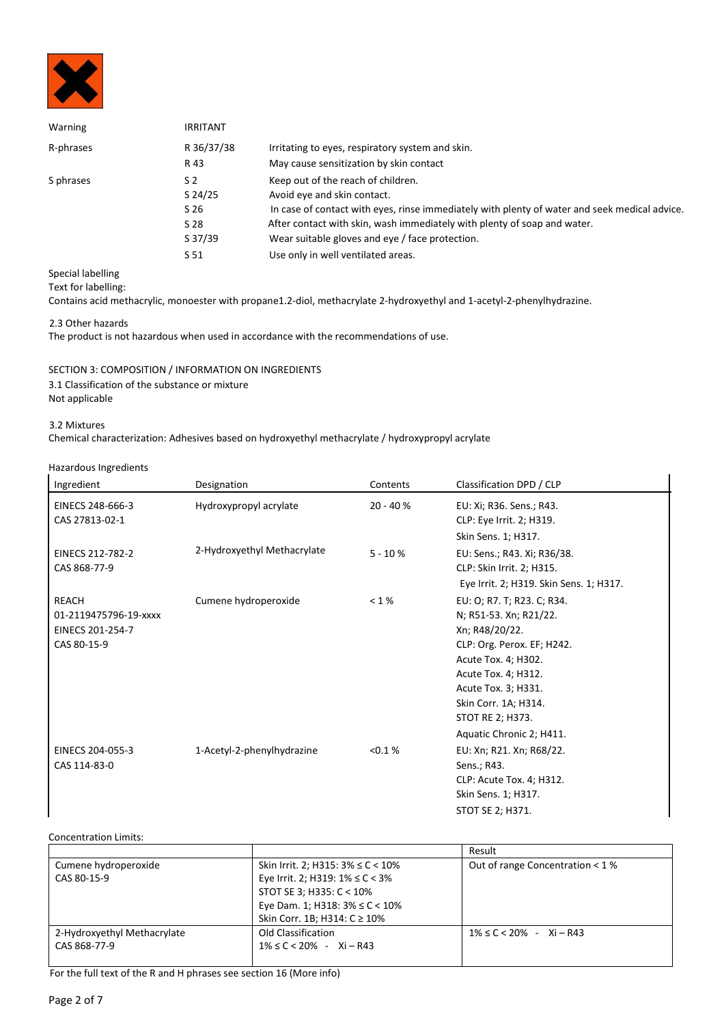

| Warning   | <b>IRRITANT</b> |                                                                                               |
|-----------|-----------------|-----------------------------------------------------------------------------------------------|
| R-phrases | R 36/37/38      | Irritating to eyes, respiratory system and skin.                                              |
|           | R 43            | May cause sensitization by skin contact                                                       |
| S phrases | S <sub>2</sub>  | Keep out of the reach of children.                                                            |
|           | $S$ 24/25       | Avoid eye and skin contact.                                                                   |
|           | S 26            | In case of contact with eyes, rinse immediately with plenty of water and seek medical advice. |
|           | S 28            | After contact with skin, wash immediately with plenty of soap and water.                      |
|           | S 37/39         | Wear suitable gloves and eye / face protection.                                               |
|           | S 51            | Use only in well ventilated areas.                                                            |

Special labelling

Text for labelling:

Contains acid methacrylic, monoester with propane1.2-diol, methacrylate 2-hydroxyethyl and 1-acetyl-2-phenylhydrazine.

2.3 Other hazards

The product is not hazardous when used in accordance with the recommendations of use.

SECTION 3: COMPOSITION / INFORMATION ON INGREDIENTS 3.1 Classification of the substance or mixture Not applicable

3.2 Mixtures

Chemical characterization: Adhesives based on hydroxyethyl methacrylate / hydroxypropyl acrylate

Hazardous Ingredients

| Ingredient            | Designation                 | Contents   | Classification DPD / CLP                |
|-----------------------|-----------------------------|------------|-----------------------------------------|
| EINECS 248-666-3      | Hydroxypropyl acrylate      | $20 - 40%$ | EU: Xi; R36. Sens.; R43.                |
| CAS 27813-02-1        |                             |            | CLP: Eye Irrit. 2; H319.                |
|                       |                             |            | Skin Sens. 1; H317.                     |
| EINECS 212-782-2      | 2-Hydroxyethyl Methacrylate | $5 - 10%$  | EU: Sens.; R43. Xi; R36/38.             |
| CAS 868-77-9          |                             |            | CLP: Skin Irrit. 2; H315.               |
|                       |                             |            | Eye Irrit. 2; H319. Skin Sens. 1; H317. |
| <b>REACH</b>          | Cumene hydroperoxide        | < 1%       | EU: O; R7. T; R23. C; R34.              |
| 01-2119475796-19-xxxx |                             |            | N; R51-53. Xn; R21/22.                  |
| EINECS 201-254-7      |                             |            | Xn; R48/20/22.                          |
| CAS 80-15-9           |                             |            | CLP: Org. Perox. EF; H242.              |
|                       |                             |            | Acute Tox. 4; H302.                     |
|                       |                             |            | Acute Tox. 4; H312.                     |
|                       |                             |            | Acute Tox. 3; H331.                     |
|                       |                             |            | Skin Corr. 1A; H314.                    |
|                       |                             |            | STOT RE 2; H373.                        |
|                       |                             |            | Aquatic Chronic 2; H411.                |
| EINECS 204-055-3      | 1-Acetyl-2-phenylhydrazine  | < 0.1 %    | EU: Xn; R21. Xn; R68/22.                |
| CAS 114-83-0          |                             |            | Sens.; R43.                             |
|                       |                             |            | CLP: Acute Tox. 4; H312.                |
|                       |                             |            | Skin Sens. 1; H317.                     |
|                       |                             |            | STOT SE 2; H371.                        |

### Concentration Limits:

|                             |                                          | Result                            |
|-----------------------------|------------------------------------------|-----------------------------------|
| Cumene hydroperoxide        | Skin Irrit. 2; H315: $3\% \leq C < 10\%$ | Out of range Concentration $<$ 1% |
| CAS 80-15-9                 | Eye Irrit. 2; H319: $1\% \leq C < 3\%$   |                                   |
|                             | STOT SE 3; H335: C < 10%                 |                                   |
|                             | Eye Dam. 1; H318: $3\% \leq C < 10\%$    |                                   |
|                             | Skin Corr. 1B; H314: C ≥ 10%             |                                   |
| 2-Hydroxyethyl Methacrylate | Old Classification                       | $1\% \leq C < 20\%$ - Xi - R43    |
| CAS 868-77-9                | $1\% \leq C < 20\%$ - Xi - R43           |                                   |
|                             |                                          |                                   |

For the full text of the R and H phrases see section 16 (More info)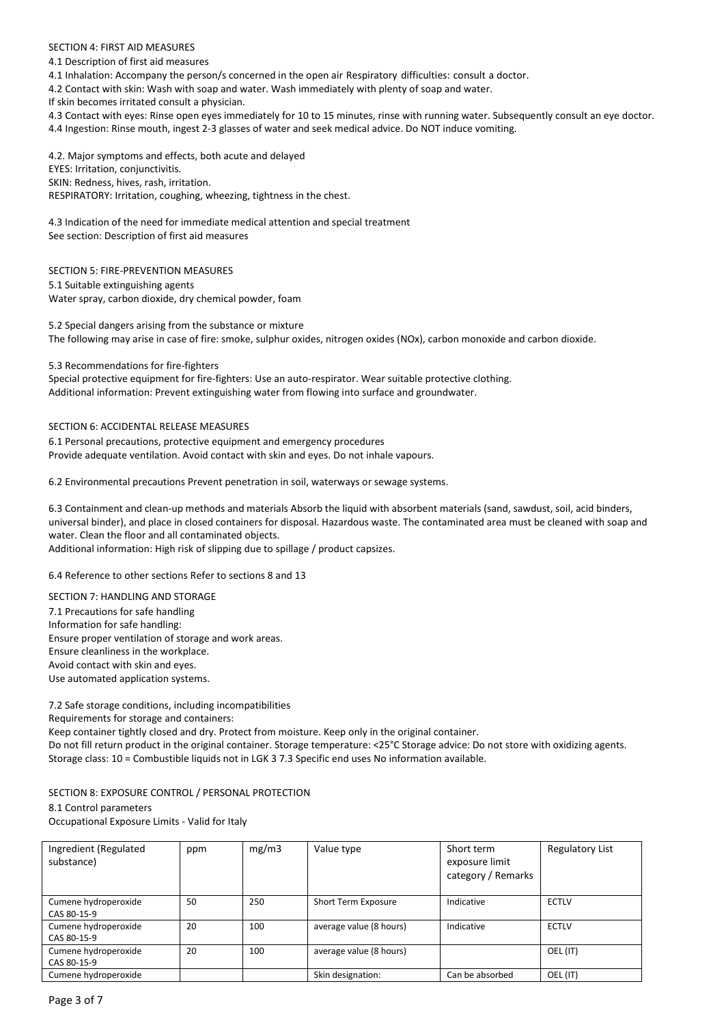### SECTION 4: FIRST AID MEASURES

4.1 Description of first aid measures

4.1 Inhalation: Accompany the person/s concerned in the open air Respiratory difficulties: consult a doctor.

4.2 Contact with skin: Wash with soap and water. Wash immediately with plenty of soap and water.

If skin becomes irritated consult a physician.

4.3 Contact with eyes: Rinse open eyes immediately for 10 to 15 minutes, rinse with running water. Subsequently consult an eye doctor.

4.4 Ingestion: Rinse mouth, ingest 2-3 glasses of water and seek medical advice. Do NOT induce vomiting.

4.2. Major symptoms and effects, both acute and delayed EYES: Irritation, conjunctivitis. SKIN: Redness, hives, rash, irritation. RESPIRATORY: Irritation, coughing, wheezing, tightness in the chest.

4.3 Indication of the need for immediate medical attention and special treatment See section: Description of first aid measures

SECTION 5: FIRE-PREVENTION MEASURES

5.1 Suitable extinguishing agents Water spray, carbon dioxide, dry chemical powder, foam

5.2 Special dangers arising from the substance or mixture The following may arise in case of fire: smoke, sulphur oxides, nitrogen oxides (NOx), carbon monoxide and carbon dioxide.

5.3 Recommendations for fire-fighters

Special protective equipment for fire-fighters: Use an auto-respirator. Wear suitable protective clothing. Additional information: Prevent extinguishing water from flowing into surface and groundwater.

### SECTION 6: ACCIDENTAL RELEASE MEASURES

6.1 Personal precautions, protective equipment and emergency procedures Provide adequate ventilation. Avoid contact with skin and eyes. Do not inhale vapours.

6.2 Environmental precautions Prevent penetration in soil, waterways or sewage systems.

6.3 Containment and clean-up methods and materials Absorb the liquid with absorbent materials (sand, sawdust, soil, acid binders, universal binder), and place in closed containers for disposal. Hazardous waste. The contaminated area must be cleaned with soap and water. Clean the floor and all contaminated objects.

Additional information: High risk of slipping due to spillage / product capsizes.

6.4 Reference to other sections Refer to sections 8 and 13

SECTION 7: HANDLING AND STORAGE 7.1 Precautions for safe handling Information for safe handling: Ensure proper ventilation of storage and work areas. Ensure cleanliness in the workplace. Avoid contact with skin and eyes. Use automated application systems.

7.2 Safe storage conditions, including incompatibilities Requirements for storage and containers: Keep container tightly closed and dry. Protect from moisture. Keep only in the original container.

Do not fill return product in the original container. Storage temperature: <25°C Storage advice: Do not store with oxidizing agents. Storage class: 10 = Combustible liquids not in LGK 3 7.3 Specific end uses No information available.

SECTION 8: EXPOSURE CONTROL / PERSONAL PROTECTION

## 8.1 Control parameters

Occupational Exposure Limits - Valid for Italy

| Ingredient (Regulated<br>substance) | ppm | mg/m3 | Value type              | Short term<br>exposure limit<br>category / Remarks | <b>Regulatory List</b> |
|-------------------------------------|-----|-------|-------------------------|----------------------------------------------------|------------------------|
| Cumene hydroperoxide<br>CAS 80-15-9 | 50  | 250   | Short Term Exposure     | Indicative                                         | <b>ECTLV</b>           |
| Cumene hydroperoxide<br>CAS 80-15-9 | 20  | 100   | average value (8 hours) | Indicative                                         | <b>ECTLV</b>           |
| Cumene hydroperoxide<br>CAS 80-15-9 | 20  | 100   | average value (8 hours) |                                                    | OEL (IT)               |
| Cumene hydroperoxide                |     |       | Skin designation:       | Can be absorbed                                    | OEL (IT)               |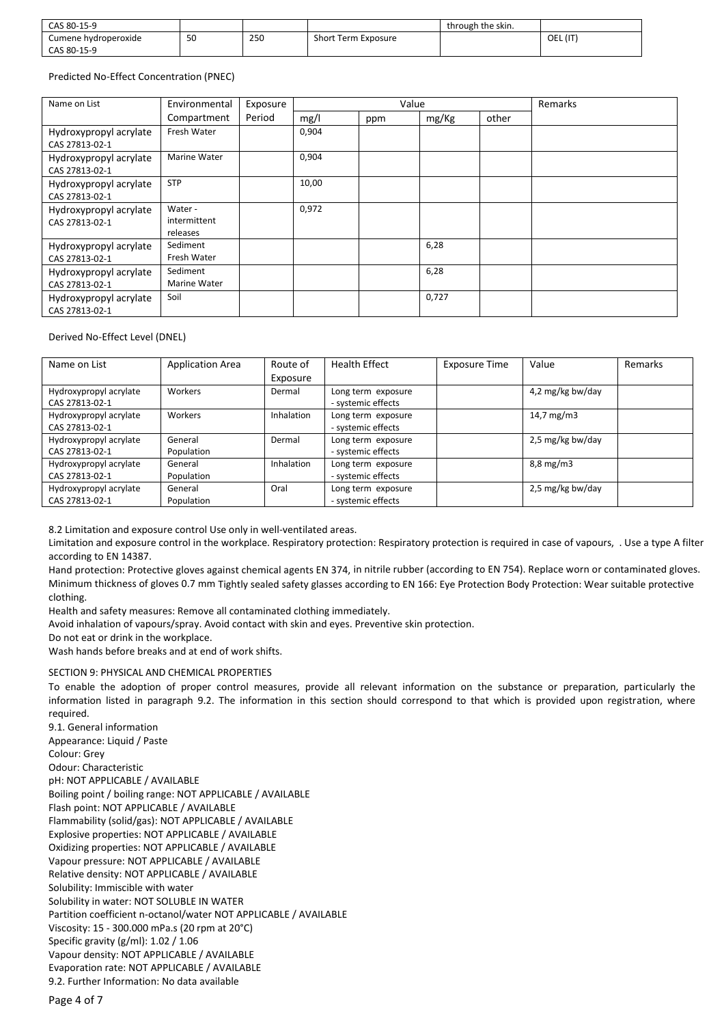| CAS 80-15-9          |    |     |                     | through the skin. |          |
|----------------------|----|-----|---------------------|-------------------|----------|
| Cumene hydroperoxide | 50 | 250 | Short Term Exposure |                   | OEL (IT) |
| CAS 80-15-9          |    |     |                     |                   |          |

#### Predicted No-Effect Concentration (PNEC)

| Name on List                             | Environmental                       | Exposure | Value |     |       | Remarks |  |
|------------------------------------------|-------------------------------------|----------|-------|-----|-------|---------|--|
|                                          | Compartment                         | Period   | mg/l  | ppm | mg/Kg | other   |  |
| Hydroxypropyl acrylate<br>CAS 27813-02-1 | Fresh Water                         |          | 0,904 |     |       |         |  |
| Hydroxypropyl acrylate<br>CAS 27813-02-1 | Marine Water                        |          | 0,904 |     |       |         |  |
| Hydroxypropyl acrylate<br>CAS 27813-02-1 | <b>STP</b>                          |          | 10,00 |     |       |         |  |
| Hydroxypropyl acrylate<br>CAS 27813-02-1 | Water -<br>intermittent<br>releases |          | 0,972 |     |       |         |  |
| Hydroxypropyl acrylate<br>CAS 27813-02-1 | Sediment<br>Fresh Water             |          |       |     | 6,28  |         |  |
| Hydroxypropyl acrylate<br>CAS 27813-02-1 | Sediment<br>Marine Water            |          |       |     | 6,28  |         |  |
| Hydroxypropyl acrylate<br>CAS 27813-02-1 | Soil                                |          |       |     | 0,727 |         |  |

#### Derived No-Effect Level (DNEL)

| Name on List                             | <b>Application Area</b> | Route of<br>Exposure | <b>Health Effect</b>                     | Exposure Time | Value              | Remarks |
|------------------------------------------|-------------------------|----------------------|------------------------------------------|---------------|--------------------|---------|
| Hydroxypropyl acrylate<br>CAS 27813-02-1 | Workers                 | Dermal               | Long term exposure<br>- systemic effects |               | 4,2 mg/kg bw/day   |         |
| Hydroxypropyl acrylate<br>CAS 27813-02-1 | Workers                 | <b>Inhalation</b>    | Long term exposure<br>- systemic effects |               | 14,7 $mg/m3$       |         |
| Hydroxypropyl acrylate<br>CAS 27813-02-1 | General<br>Population   | Dermal               | Long term exposure<br>- systemic effects |               | 2,5 mg/kg bw/day   |         |
| Hydroxypropyl acrylate<br>CAS 27813-02-1 | General<br>Population   | Inhalation           | Long term exposure<br>- systemic effects |               | $8,8 \text{ mg/m}$ |         |
| Hydroxypropyl acrylate<br>CAS 27813-02-1 | General<br>Population   | Oral                 | Long term exposure<br>- systemic effects |               | 2,5 mg/kg bw/day   |         |

8.2 Limitation and exposure control Use only in well-ventilated areas.

Limitation and exposure control in the workplace. Respiratory protection: Respiratory protection is required in case of vapours, . Use a type A filter according to EN 14387.

Hand protection: Protective gloves against chemical agents EN 374, in nitrile rubber (according to EN 754). Replace worn or contaminated gloves. Minimum thickness of gloves 0.7 mm Tightly sealed safety glasses according to EN 166: Eye Protection Body Protection: Wear suitable protective clothing.

Health and safety measures: Remove all contaminated clothing immediately.

Avoid inhalation of vapours/spray. Avoid contact with skin and eyes. Preventive skin protection.

Do not eat or drink in the workplace.

Wash hands before breaks and at end of work shifts.

#### SECTION 9: PHYSICAL AND CHEMICAL PROPERTIES

To enable the adoption of proper control measures, provide all relevant information on the substance or preparation, particularly the information listed in paragraph 9.2. The information in this section should correspond to that which is provided upon registration, where required.

9.1. General information Appearance: Liquid / Paste Colour: Grey Odour: Characteristic pH: NOT APPLICABLE / AVAILABLE Boiling point / boiling range: NOT APPLICABLE / AVAILABLE Flash point: NOT APPLICABLE / AVAILABLE Flammability (solid/gas): NOT APPLICABLE / AVAILABLE Explosive properties: NOT APPLICABLE / AVAILABLE Oxidizing properties: NOT APPLICABLE / AVAILABLE Vapour pressure: NOT APPLICABLE / AVAILABLE Relative density: NOT APPLICABLE / AVAILABLE Solubility: Immiscible with water Solubility in water: NOT SOLUBLE IN WATER Partition coefficient n-octanol/water NOT APPLICABLE / AVAILABLE Viscosity: 15 - 300.000 mPa.s (20 rpm at 20°C) Specific gravity (g/ml): 1.02 / 1.06 Vapour density: NOT APPLICABLE / AVAILABLE Evaporation rate: NOT APPLICABLE / AVAILABLE 9.2. Further Information: No data available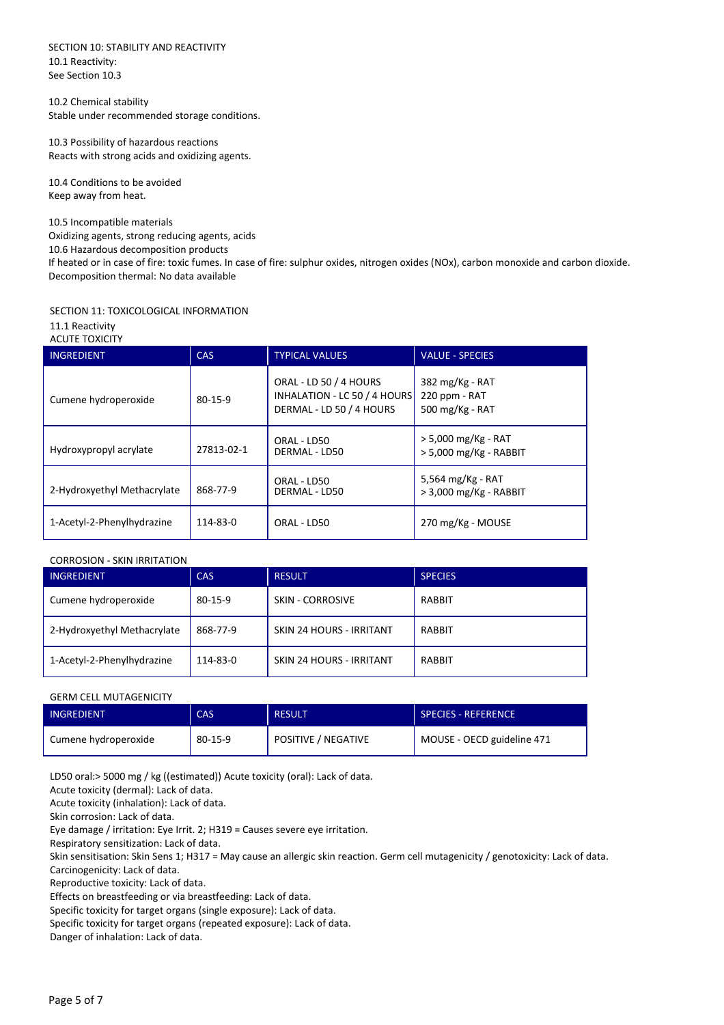SECTION 10: STABILITY AND REACTIVITY 10.1 Reactivity: See Section 10.3

10.2 Chemical stability Stable under recommended storage conditions.

10.3 Possibility of hazardous reactions Reacts with strong acids and oxidizing agents.

10.4 Conditions to be avoided Keep away from heat.

10.5 Incompatible materials Oxidizing agents, strong reducing agents, acids 10.6 Hazardous decomposition products If heated or in case of fire: toxic fumes. In case of fire: sulphur oxides, nitrogen oxides (NOx), carbon monoxide and carbon dioxide. Decomposition thermal: No data available

#### SECTION 11: TOXICOLOGICAL INFORMATION

11.1 Reactivity ACUTE TOXICITY

| AUVIL IVAIUIT               |               |                                                                                    |                                                         |
|-----------------------------|---------------|------------------------------------------------------------------------------------|---------------------------------------------------------|
| <b>INGREDIENT</b>           | <b>CAS</b>    | <b>TYPICAL VALUES</b>                                                              | <b>VALUE - SPECIES</b>                                  |
| Cumene hydroperoxide        | $80 - 15 - 9$ | ORAL - LD 50 / 4 HOURS<br>INHALATION - LC 50 / 4 HOURS<br>DERMAL - LD 50 / 4 HOURS | 382 $mg/Kg$ - RAT<br>220 ppm - RAT<br>500 $mg/Kg$ - RAT |
| Hydroxypropyl acrylate      | 27813-02-1    | ORAL - LD50<br>DERMAL - LD50                                                       | > 5,000 mg/Kg - RAT<br>> 5,000 mg/Kg - RABBIT           |
| 2-Hydroxyethyl Methacrylate | 868-77-9      | ORAL - LD50<br>DERMAL - LD50                                                       | 5,564 mg/Kg - RAT<br>> 3,000 mg/Kg - RABBIT             |
| 1-Acetyl-2-Phenylhydrazine  | 114-83-0      | ORAL - LD50                                                                        | 270 mg/Kg - MOUSE                                       |

#### CORROSION - SKIN IRRITATION

| <b>INGREDIENT</b>           | <b>CAS</b> | <b>RESULT</b>                   | <b>SPECIES</b> |
|-----------------------------|------------|---------------------------------|----------------|
| Cumene hydroperoxide        | 80-15-9    | <b>SKIN - CORROSIVE</b>         | RABBIT         |
| 2-Hydroxyethyl Methacrylate | 868-77-9   | <b>SKIN 24 HOURS - IRRITANT</b> | RABBIT         |
| 1-Acetyl-2-Phenylhydrazine  | 114-83-0   | SKIN 24 HOURS - IRRITANT        | RABBIT         |

#### GERM CELL MUTAGENICITY

| <b>INGREDIENT</b>    | CAS     | <b>RESULT</b>       | <b>SPECIES - REFERENCE</b> |
|----------------------|---------|---------------------|----------------------------|
| Cumene hydroperoxide | 80-15-9 | POSITIVE / NEGATIVE | MOUSE - OECD guideline 471 |

LD50 oral:> 5000 mg / kg ((estimated)) Acute toxicity (oral): Lack of data.

Acute toxicity (dermal): Lack of data.

Acute toxicity (inhalation): Lack of data.

Skin corrosion: Lack of data.

Eye damage / irritation: Eye Irrit. 2; H319 = Causes severe eye irritation.

Respiratory sensitization: Lack of data.

Skin sensitisation: Skin Sens 1; H317 = May cause an allergic skin reaction. Germ cell mutagenicity / genotoxicity: Lack of data. Carcinogenicity: Lack of data.

Reproductive toxicity: Lack of data.

Effects on breastfeeding or via breastfeeding: Lack of data.

Specific toxicity for target organs (single exposure): Lack of data.

Specific toxicity for target organs (repeated exposure): Lack of data.

Danger of inhalation: Lack of data.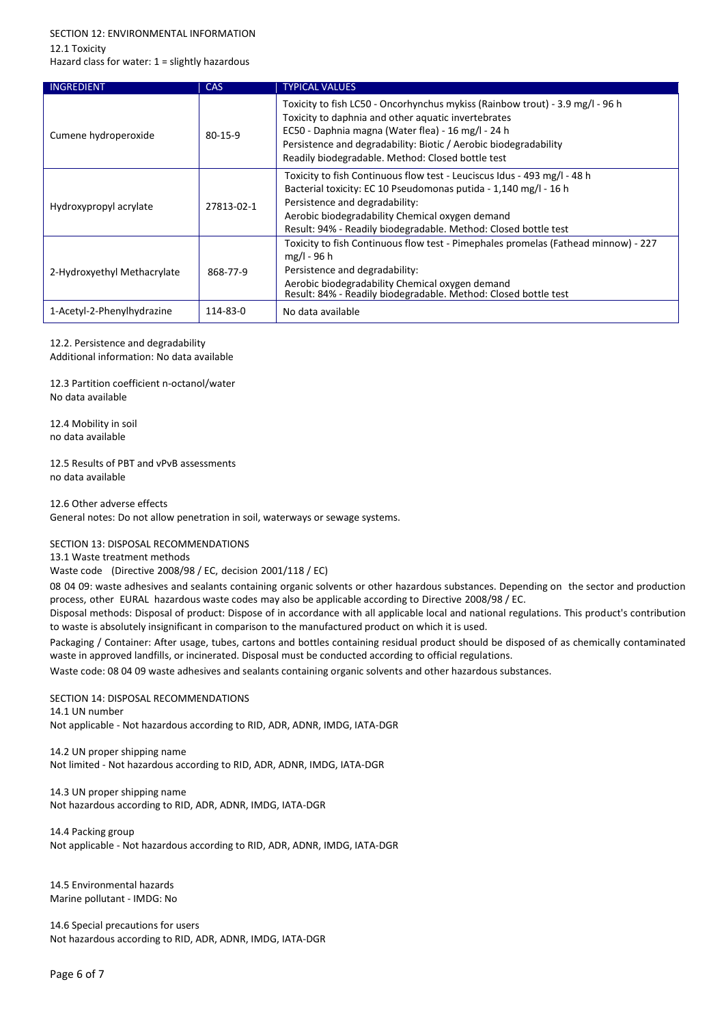# SECTION 12: ENVIRONMENTAL INFORMATION

12.1 Toxicity

Hazard class for water: 1 = slightly hazardous

| INGREDIENT                  | <b>CAS</b>    | <b>TYPICAL VALUES</b>                                                                                                                                                                                                                                                                                               |
|-----------------------------|---------------|---------------------------------------------------------------------------------------------------------------------------------------------------------------------------------------------------------------------------------------------------------------------------------------------------------------------|
| Cumene hydroperoxide        | $80 - 15 - 9$ | Toxicity to fish LC50 - Oncorhynchus mykiss (Rainbow trout) - 3.9 mg/l - 96 h<br>Toxicity to daphnia and other aquatic invertebrates<br>EC50 - Daphnia magna (Water flea) - 16 mg/l - 24 h<br>Persistence and degradability: Biotic / Aerobic biodegradability<br>Readily biodegradable. Method: Closed bottle test |
| Hydroxypropyl acrylate      | 27813-02-1    | Toxicity to fish Continuous flow test - Leuciscus Idus - 493 mg/l - 48 h<br>Bacterial toxicity: EC 10 Pseudomonas putida - 1,140 mg/l - 16 h<br>Persistence and degradability:<br>Aerobic biodegradability Chemical oxygen demand<br>Result: 94% - Readily biodegradable. Method: Closed bottle test                |
| 2-Hydroxyethyl Methacrylate | 868-77-9      | Toxicity to fish Continuous flow test - Pimephales promelas (Fathead minnow) - 227<br>$mg/l - 96 h$<br>Persistence and degradability:<br>Aerobic biodegradability Chemical oxygen demand<br>Result: 84% - Readily biodegradable. Method: Closed bottle test                                                         |
| 1-Acetyl-2-Phenylhydrazine  | 114-83-0      | No data available                                                                                                                                                                                                                                                                                                   |

## 12.2. Persistence and degradability

Additional information: No data available

12.3 Partition coefficient n-octanol/water No data available

12.4 Mobility in soil no data available

12.5 Results of PBT and vPvB assessments no data available

#### 12.6 Other adverse effects

General notes: Do not allow penetration in soil, waterways or sewage systems.

#### SECTION 13: DISPOSAL RECOMMENDATIONS

13.1 Waste treatment methods

Waste code (Directive 2008/98 / EC, decision 2001/118 / EC)

08 04 09: waste adhesives and sealants containing organic solvents or other hazardous substances. Depending on the sector and production process, other EURAL hazardous waste codes may also be applicable according to Directive 2008/98 / EC.

Disposal methods: Disposal of product: Dispose of in accordance with all applicable local and national regulations. This product's contribution to waste is absolutely insignificant in comparison to the manufactured product on which it is used.

Packaging / Container: After usage, tubes, cartons and bottles containing residual product should be disposed of as chemically contaminated waste in approved landfills, or incinerated. Disposal must be conducted according to official regulations.

Waste code: 08 04 09 waste adhesives and sealants containing organic solvents and other hazardous substances.

# SECTION 14: DISPOSAL RECOMMENDATIONS

14.1 UN number Not applicable - Not hazardous according to RID, ADR, ADNR, IMDG, IATA-DGR

14.2 UN proper shipping name Not limited - Not hazardous according to RID, ADR, ADNR, IMDG, IATA-DGR

14.3 UN proper shipping name Not hazardous according to RID, ADR, ADNR, IMDG, IATA-DGR

14.4 Packing group Not applicable - Not hazardous according to RID, ADR, ADNR, IMDG, IATA-DGR

14.5 Environmental hazards Marine pollutant - IMDG: No

14.6 Special precautions for users Not hazardous according to RID, ADR, ADNR, IMDG, IATA-DGR